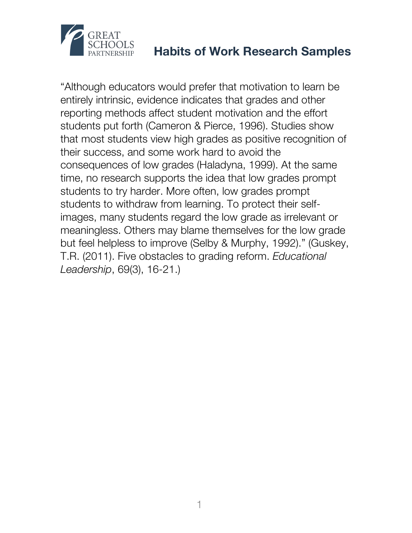

"Although educators would prefer that motivation to learn be entirely intrinsic, evidence indicates that grades and other reporting methods affect student motivation and the effort students put forth (Cameron & Pierce, 1996). Studies show that most students view high grades as positive recognition of their success, and some work hard to avoid the consequences of low grades (Haladyna, 1999). At the same time, no research supports the idea that low grades prompt students to try harder. More often, low grades prompt students to withdraw from learning. To protect their selfimages, many students regard the low grade as irrelevant or meaningless. Others may blame themselves for the low grade but feel helpless to improve (Selby & Murphy, 1992)." (Guskey, T.R. (2011). Five obstacles to grading reform. *Educational Leadership*, 69(3), 16-21.)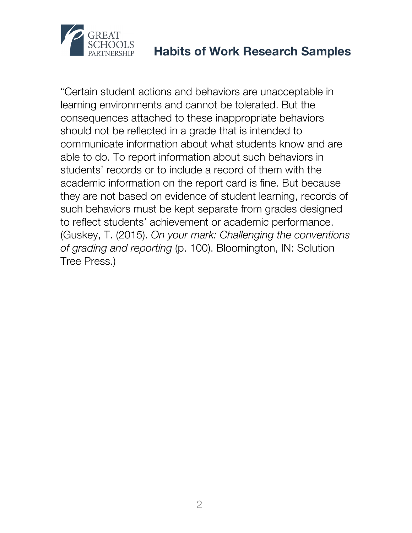

"Certain student actions and behaviors are unacceptable in learning environments and cannot be tolerated. But the consequences attached to these inappropriate behaviors should not be reflected in a grade that is intended to communicate information about what students know and are able to do. To report information about such behaviors in students' records or to include a record of them with the academic information on the report card is fine. But because they are not based on evidence of student learning, records of such behaviors must be kept separate from grades designed to reflect students' achievement or academic performance. (Guskey, T. (2015). *On your mark: Challenging the conventions of grading and reporting* (p. 100). Bloomington, IN: Solution Tree Press.)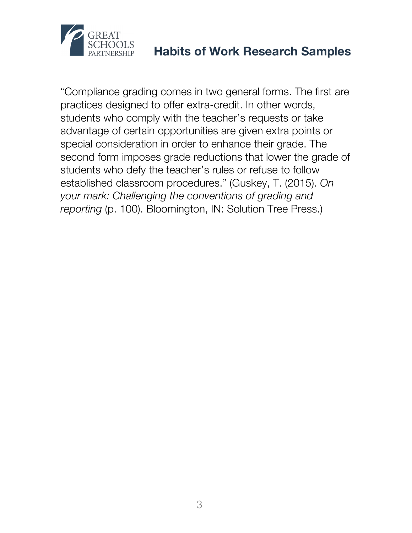

"Compliance grading comes in two general forms. The first are practices designed to offer extra-credit. In other words, students who comply with the teacher's requests or take advantage of certain opportunities are given extra points or special consideration in order to enhance their grade. The second form imposes grade reductions that lower the grade of students who defy the teacher's rules or refuse to follow established classroom procedures." (Guskey, T. (2015). *On your mark: Challenging the conventions of grading and reporting* (p. 100). Bloomington, IN: Solution Tree Press.)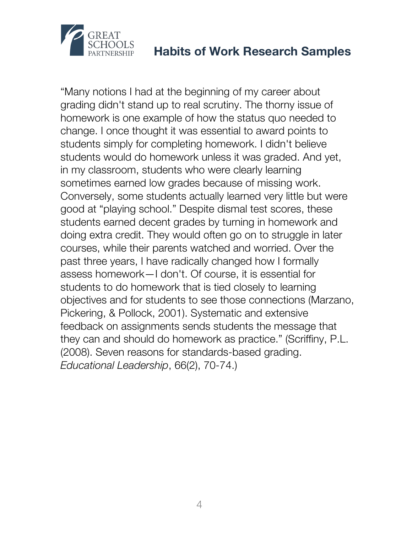

"Many notions I had at the beginning of my career about grading didn't stand up to real scrutiny. The thorny issue of homework is one example of how the status quo needed to change. I once thought it was essential to award points to students simply for completing homework. I didn't believe students would do homework unless it was graded. And yet, in my classroom, students who were clearly learning sometimes earned low grades because of missing work. Conversely, some students actually learned very little but were good at "playing school." Despite dismal test scores, these students earned decent grades by turning in homework and doing extra credit. They would often go on to struggle in later courses, while their parents watched and worried. Over the past three years, I have radically changed how I formally assess homework—I don't. Of course, it is essential for students to do homework that is tied closely to learning objectives and for students to see those connections (Marzano, Pickering, & Pollock, 2001). Systematic and extensive feedback on assignments sends students the message that they can and should do homework as practice." (Scriffiny, P.L. (2008). Seven reasons for standards-based grading. *Educational Leadership*, 66(2), 70-74.)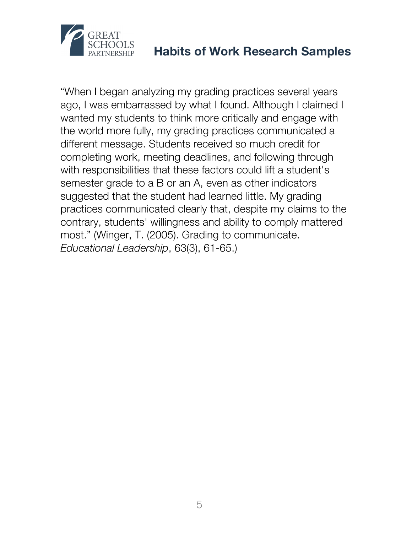

"When I began analyzing my grading practices several years ago, I was embarrassed by what I found. Although I claimed I wanted my students to think more critically and engage with the world more fully, my grading practices communicated a different message. Students received so much credit for completing work, meeting deadlines, and following through with responsibilities that these factors could lift a student's semester grade to a B or an A, even as other indicators suggested that the student had learned little. My grading practices communicated clearly that, despite my claims to the contrary, students' willingness and ability to comply mattered most." (Winger, T. (2005). Grading to communicate. *Educational Leadership*, 63(3), 61-65.)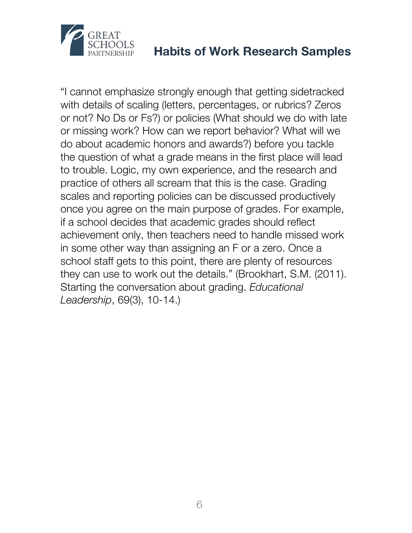

"I cannot emphasize strongly enough that getting sidetracked with details of scaling (letters, percentages, or rubrics? Zeros or not? No Ds or Fs?) or policies (What should we do with late or missing work? How can we report behavior? What will we do about academic honors and awards?) before you tackle the question of what a grade means in the first place will lead to trouble. Logic, my own experience, and the research and practice of others all scream that this is the case. Grading scales and reporting policies can be discussed productively once you agree on the main purpose of grades. For example, if a school decides that academic grades should reflect achievement only, then teachers need to handle missed work in some other way than assigning an F or a zero. Once a school staff gets to this point, there are plenty of resources they can use to work out the details." (Brookhart, S.M. (2011). Starting the conversation about grading. *Educational Leadership*, 69(3), 10-14.)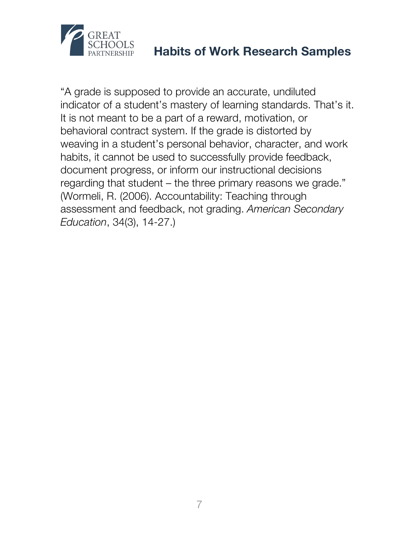

"A grade is supposed to provide an accurate, undiluted indicator of a student's mastery of learning standards. That's it. It is not meant to be a part of a reward, motivation, or behavioral contract system. If the grade is distorted by weaving in a student's personal behavior, character, and work habits, it cannot be used to successfully provide feedback, document progress, or inform our instructional decisions regarding that student – the three primary reasons we grade." (Wormeli, R. (2006). Accountability: Teaching through assessment and feedback, not grading. *American Secondary Education*, 34(3), 14-27.)